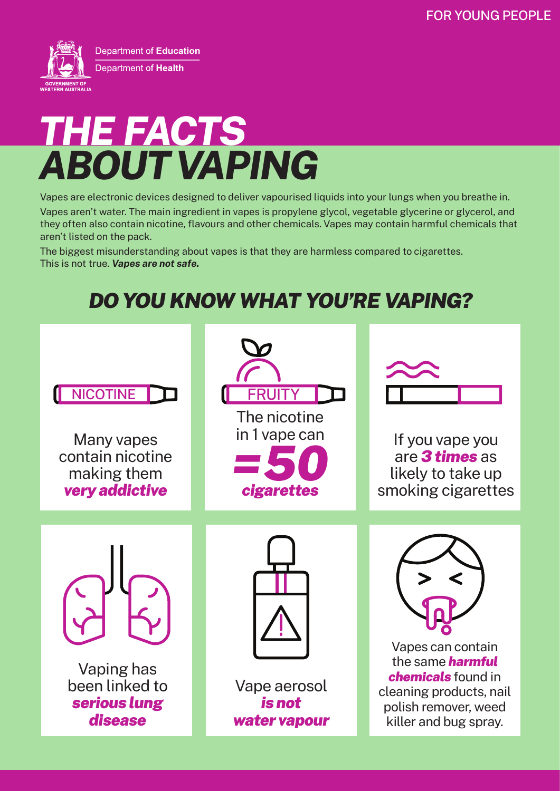

# *ABOUT VAPING THE FACTS*

Vapes are electronic devices designed to deliver vapourised liquids into your lungs when you breathe in.

Vapes aren't water. The main ingredient in vapes is propylene glycol, vegetable glycerine or glycerol, and they often also contain nicotine, flavours and other chemicals. Vapes may contain harmful chemicals that aren't listed on the pack.

The biggest misunderstanding about vapes is that they are harmless compared to cigarettes. This is not true. *Vapes are not safe.*

### *DO YOU KNOW WHAT YOU'RE VAPING?*

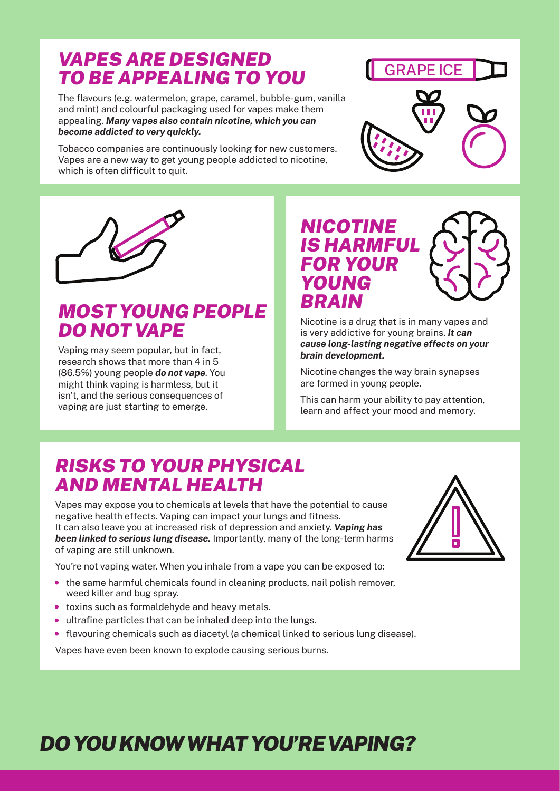### *VAPES ARE DESIGNED TO BE APPEALING TO YOU*

The flavours (e.g. watermelon, grape, caramel, bubble-gum, vanilla and mint) and colourful packaging used for vapes make them appealing. *Many vapes also contain nicotine, which you can become addicted to very quickly.* 

Tobacco companies are continuously looking for new customers. Vapes are a new way to get young people addicted to nicotine, which is often difficult to quit.



GRAPE ICE

Nicotine is a drug that is in many vapes and is very addictive for young brains. *It can cause long-lasting negative effects on your brain development.*

Nicotine changes the way brain synapses are formed in young people.

This can harm your ability to pay attention, learn and affect your mood and memory.

### *RISKS TO YOUR PHYSICAL AND MENTAL HEALTH*

*MOST YOUNG PEOPLE* 

*DO NOT VAPE*

Vaping may seem popular, but in fact, research shows that more than 4 in 5 (86.5%) young people *do not vape*. You might think vaping is harmless, but it isn't, and the serious consequences of vaping are just starting to emerge.

Vapes may expose you to chemicals at levels that have the potential to cause negative health effects. Vaping can impact your lungs and fitness. It can also leave you at increased risk of depression and anxiety. *Vaping has been linked to serious lung disease.* Importantly, many of the long-term harms of vaping are still unknown.

You're not vaping water. When you inhale from a vape you can be exposed to:

- the same harmful chemicals found in cleaning products, nail polish remover, weed killer and bug spray.
- toxins such as formaldehyde and heavy metals.
- ultrafine particles that can be inhaled deep into the lungs.
- flavouring chemicals such as diacetyl (a chemical linked to serious lung disease).

Vapes have even been known to explode causing serious burns.

## *DO YOU KNOW WHAT YOU'RE VAPING?*